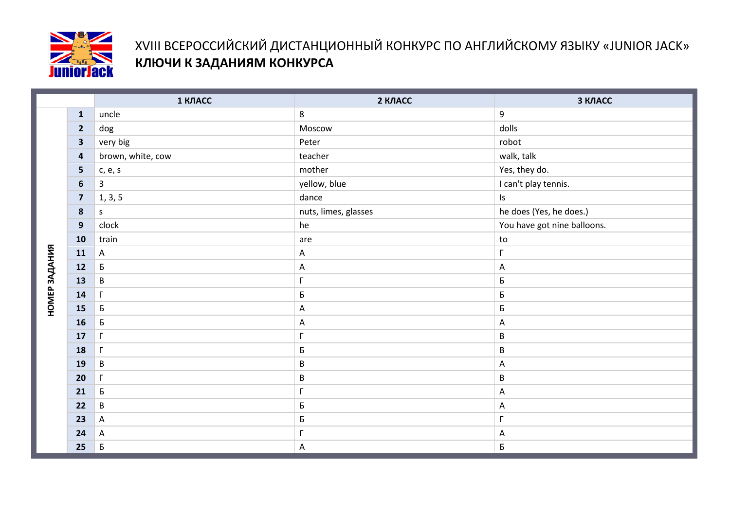

## XVIII ВСЕРОССИЙСКИЙ ДИСТАНЦИОННЫЙ КОНКУРС ПО АНГЛИЙСКОМУ ЯЗЫКУ «JUNIOR JACK» **КЛЮЧИ К ЗАДАНИЯМ КОНКУРСА**

|               |                         | 1 КЛАСС                   | 2 КЛАСС              | З КЛАСС                     |
|---------------|-------------------------|---------------------------|----------------------|-----------------------------|
|               | $\mathbf{1}$            | uncle                     | 8                    | 9                           |
|               | $\overline{2}$          | $\rm{dog}$                | Moscow               | dolls                       |
|               | $\overline{\mathbf{3}}$ | very big                  | Peter                | robot                       |
|               | $\overline{\mathbf{a}}$ | brown, white, cow         | teacher              | walk, talk                  |
|               | 5                       | c, e, s                   | mother               | Yes, they do.               |
|               | $6\phantom{1}6$         | $\mathbf{3}$              | yellow, blue         | I can't play tennis.        |
|               | $\overline{\mathbf{z}}$ | 1, 3, 5                   | dance                | $\sf{Is}$                   |
|               | $\boldsymbol{8}$        | $\mathsf S$               | nuts, limes, glasses | he does (Yes, he does.)     |
|               | 9                       | clock                     | he                   | You have got nine balloons. |
|               | 10                      | train                     | are                  | ${\sf to}$                  |
|               | 11                      | $\mathsf A$               | $\mathsf A$          | $\Gamma$                    |
|               | 12                      | $\sf B$                   | $\mathsf A$          | $\mathsf A$                 |
| НОМЕР ЗАДАНИЯ | 13                      | $\,$ B                    | Г                    | Б                           |
|               | 14                      | $\Gamma$                  | Б                    | Б                           |
|               | 15                      | $\sf B$                   | $\mathsf{A}$         | Б                           |
|               | 16                      | Б                         | A                    | A                           |
|               | 17                      | $\Gamma$                  | Г                    | $\sf B$                     |
|               | 18                      | $\Gamma$                  | Б                    | $\sf B$                     |
|               | 19                      | $\sf B$                   | $\sf B$              | $\mathsf A$                 |
|               | 20                      | $\Gamma$                  | B                    | $\sf B$                     |
|               | 21                      | $\sf B$                   | Г                    | $\mathsf A$                 |
|               | 22                      | $\sf B$                   | Б                    | A                           |
|               | 23                      | $\mathsf A$               | Б                    | $\overline{\Gamma}$         |
|               | 24                      | $\boldsymbol{\mathsf{A}}$ | Г                    | $\mathsf A$                 |
|               | 25                      | Б                         | A                    | Б                           |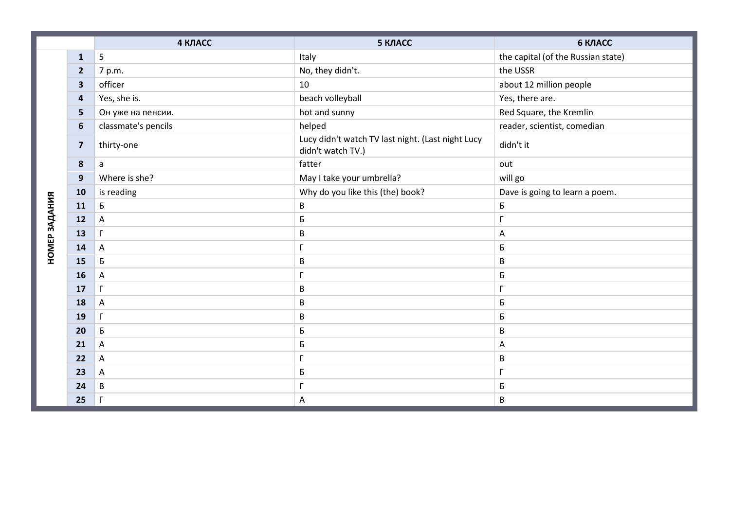|               |                         | 4 КЛАСС             | 5 КЛАСС                                                                | 6 КЛАСС                            |
|---------------|-------------------------|---------------------|------------------------------------------------------------------------|------------------------------------|
|               | $\mathbf{1}$            | 5                   | Italy                                                                  | the capital (of the Russian state) |
|               | $\overline{2}$          | 7 p.m.              | No, they didn't.                                                       | the USSR                           |
|               | $\overline{\mathbf{3}}$ | officer             | 10                                                                     | about 12 million people            |
|               | $\overline{\mathbf{4}}$ | Yes, she is.        | beach volleyball                                                       | Yes, there are.                    |
|               | 5                       | Он уже на пенсии.   | hot and sunny                                                          | Red Square, the Kremlin            |
|               | 6                       | classmate's pencils | helped                                                                 | reader, scientist, comedian        |
|               | $\overline{\mathbf{z}}$ | thirty-one          | Lucy didn't watch TV last night. (Last night Lucy<br>didn't watch TV.) | didn't it                          |
|               | 8                       | a                   | fatter                                                                 | out                                |
|               | 9                       | Where is she?       | May I take your umbrella?                                              | will go                            |
|               | 10                      | is reading          | Why do you like this (the) book?                                       | Dave is going to learn a poem.     |
| НОМЕР ЗАДАНИЯ | 11                      | Б                   | B                                                                      | Б                                  |
|               | 12                      | $\mathsf{A}$        | Б                                                                      | $\Gamma$                           |
|               | 13                      | $\Gamma$            | B                                                                      | A                                  |
|               | 14                      | A                   | г                                                                      | Б                                  |
|               | 15                      | Б                   | B                                                                      | $\sf B$                            |
|               | 16                      | $\mathsf{A}$        | г                                                                      | Б                                  |
|               | 17                      | $\Gamma$            | B                                                                      | $\Gamma$                           |
|               | 18                      | A                   | B                                                                      | Б                                  |
|               | 19                      | $\Gamma$            | B                                                                      | Б                                  |
|               | 20                      | Б                   | Б                                                                      | $\sf B$                            |
|               | 21                      | A                   | Б                                                                      | A                                  |
|               | 22                      | A                   | г                                                                      | $\sf B$                            |
|               | 23                      | Α                   | Б                                                                      | Г                                  |
|               | 24                      | $\sf B$             |                                                                        | Б                                  |
|               | 25                      | $\Gamma$            | Α                                                                      | $\sf B$                            |